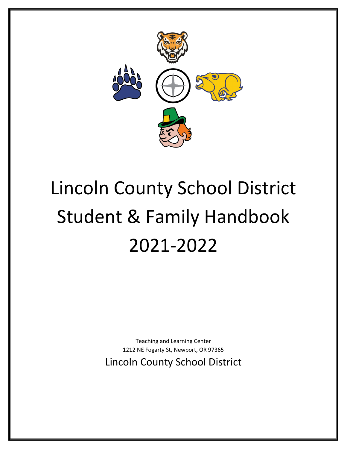

# Lincoln County School District Student & Family Handbook 2021-2022

Teaching and Learning Center 1212 NE Fogarty St, Newport, OR 97365 Lincoln County School District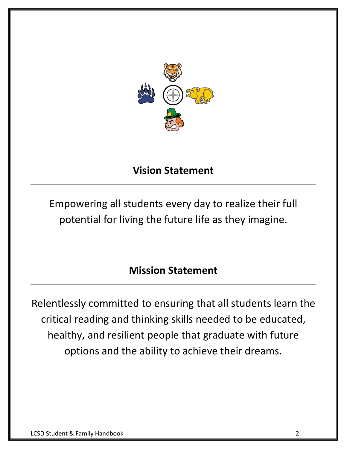

### **Vision Statement**

Empowering all students every day to realize their full potential for living the future life as they imagine.

### **Mission Statement**

Relentlessly committed to ensuring that all students learn the critical reading and thinking skills needed to be educated, healthy, and resilient people that graduate with future options and the ability to achieve their dreams.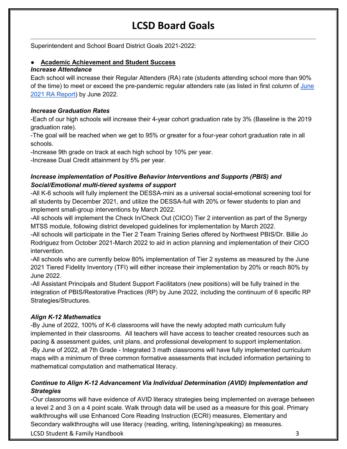### **LCSD Board Goals**

Superintendent and School Board District Goals 2021-2022:

#### **Academic Achievement and Student Success**

#### *Increase Attendance*

Each school will increase their Regular Attenders (RA) rate (students attending school more than 90% of the time) to meet or exceed the pre-pandemic regular attenders rate (as listed in first column of [June](https://drive.google.com/file/d/1I2b_4PPLJ55zKjc9DaEynWMwTKKO_CJH/view?usp=sharing)  [2021 RA Report\)](https://drive.google.com/file/d/1I2b_4PPLJ55zKjc9DaEynWMwTKKO_CJH/view?usp=sharing) by June 2022.

#### *Increase Graduation Rates*

-Each of our high schools will increase their 4-year cohort graduation rate by 3% (Baseline is the 2019 graduation rate).

-The goal will be reached when we get to 95% or greater for a four-year cohort graduation rate in all schools.

-Increase 9th grade on track at each high school by 10% per year.

-Increase Dual Credit attainment by 5% per year.

#### *Increase implementation of Positive Behavior Interventions and Supports (PBIS) and Social/Emotional multi-tiered systems of support*

-All K-6 schools will fully implement the DESSA-mini as a universal social-emotional screening tool for all students by December 2021, and utilize the DESSA-full with 20% or fewer students to plan and implement small-group interventions by March 2022.

-All schools will implement the Check In/Check Out (CICO) Tier 2 intervention as part of the Synergy MTSS module, following district developed guidelines for implementation by March 2022.

-All schools will participate in the Tier 2 Team Training Series offered by Northwest PBIS/Dr. Billie Jo Rodriguez from October 2021-March 2022 to aid in action planning and implementation of their CICO intervention.

-All schools who are currently below 80% implementation of Tier 2 systems as measured by the June 2021 Tiered Fidelity Inventory (TFI) will either increase their implementation by 20% or reach 80% by June 2022.

-All Assistant Principals and Student Support Facilitators (new positions) will be fully trained in the integration of PBIS/Restorative Practices (RP) by June 2022, including the continuum of 6 specific RP Strategies/Structures.

#### *Align K-12 Mathematics*

-By June of 2022, 100% of K-6 classrooms will have the newly adopted math curriculum fully implemented in their classrooms. All teachers will have access to teacher created resources such as pacing & assessment guides, unit plans, and professional development to support implementation. -By June of 2022, all 7th Grade - Integrated 3 math classrooms will have fully implemented curriculum maps with a minimum of three common formative assessments that included information pertaining to mathematical computation and mathematical literacy.

#### *Continue to Align K-12 Advancement Via Individual Determination (AVID) Implementation and Strategies*

**LCSD Student & Family Handbook 3** 3 -Our classrooms will have evidence of AVID literacy strategies being implemented on average between a level 2 and 3 on a 4 point scale. Walk through data will be used as a measure for this goal. Primary walkthroughs will use Enhanced Core Reading Instruction (ECRI) measures, Elementary and Secondary walkthroughs will use literacy (reading, writing, listening/speaking) as measures.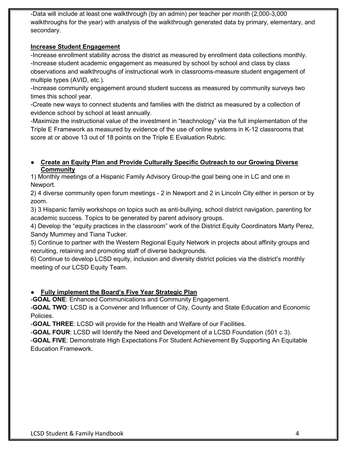-Data will include at least one walkthrough (by an admin) per teacher per month (2,000-3,000 walkthroughs for the year) with analysis of the walkthrough generated data by primary, elementary, and secondary.

#### **Increase Student Engagement**

-Increase enrollment stability across the district as measured by enrollment data collections monthly. -Increase student academic engagement as measured by school by school and class by class observations and walkthroughs of instructional work in classrooms-measure student engagement of multiple types (AVID, etc.).

-Increase community engagement around student success as measured by community surveys two times this school year.

-Create new ways to connect students and families with the district as measured by a collection of evidence school by school at least annually.

-Maximize the instructional value of the investment in "teachnology" via the full implementation of the Triple E Framework as measured by evidence of the use of online systems in K-12 classrooms that score at or above 13 out of 18 points on the Triple E Evaluation Rubric.

#### ● **Create an Equity Plan and Provide Culturally Specific Outreach to our Growing Diverse Community**

1) Monthly meetings of a Hispanic Family Advisory Group-the goal being one in LC and one in Newport.

2) 4 diverse community open forum meetings - 2 in Newport and 2 in Lincoln City either in person or by zoom.

3) 3 Hispanic family workshops on topics such as anti-bullying, school district navigation, parenting for academic success. Topics to be generated by parent advisory groups.

4) Develop the "equity practices in the classroom" work of the District Equity Coordinators Marty Perez, Sandy Mummey and Tiana Tucker.

5) Continue to partner with the Western Regional Equity Network in projects about affinity groups and recruiting, retaining and promoting staff of diverse backgrounds.

6) Continue to develop LCSD equity, inclusion and diversity district policies via the district's monthly meeting of our LCSD Equity Team.

#### **Fully implement the Board's Five Year Strategic Plan**

-**GOAL ONE**: Enhanced Communications and Community Engagement.

-**GOAL TWO**: LCSD is a Convener and Influencer of City, County and State Education and Economic Policies.

-**GOAL THREE**: LCSD will provide for the Health and Welfare of our Facilities.

-**GOAL FOUR**: LCSD will Identify the Need and Development of a LCSD Foundation (501 c 3).

-**GOAL FIVE**: Demonstrate High Expectations For Student Achievement By Supporting An Equitable Education Framework.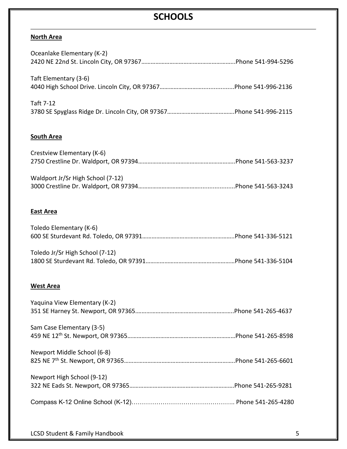### **SCHOOLS**

#### **North Area**

| Oceanlake Elementary (K-2)        |
|-----------------------------------|
| Taft Elementary (3-6)             |
| Taft 7-12                         |
| <b>South Area</b>                 |
| Crestview Elementary (K-6)        |
| Waldport Jr/Sr High School (7-12) |
| <b>East Area</b>                  |
| Toledo Elementary (K-6)           |
| Toledo Jr/Sr High School (7-12)   |
| <b>West Area</b>                  |
| Yaquina View Elementary (K-2)     |
| Sam Case Elementary (3-5)         |
| Newport Middle School (6-8)       |
| Newport High School (9-12)        |
|                                   |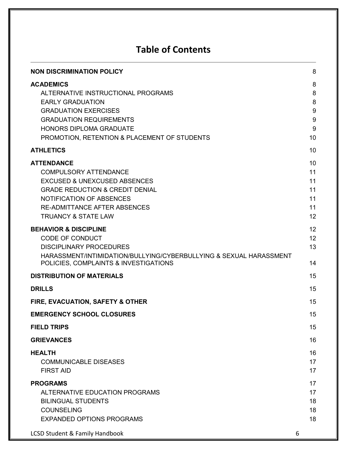### **Table of Contents**

| <b>NON DISCRIMINATION POLICY</b>                                                                                                                                                                                                                       | 8                                               |
|--------------------------------------------------------------------------------------------------------------------------------------------------------------------------------------------------------------------------------------------------------|-------------------------------------------------|
| <b>ACADEMICS</b><br>ALTERNATIVE INSTRUCTIONAL PROGRAMS<br><b>EARLY GRADUATION</b><br><b>GRADUATION EXERCISES</b><br><b>GRADUATION REQUIREMENTS</b><br><b>HONORS DIPLOMA GRADUATE</b><br>PROMOTION, RETENTION & PLACEMENT OF STUDENTS                   | 8<br>8<br>8<br>$\boldsymbol{9}$<br>9<br>9<br>10 |
| <b>ATHLETICS</b>                                                                                                                                                                                                                                       | 10                                              |
| <b>ATTENDANCE</b><br><b>COMPULSORY ATTENDANCE</b><br><b>EXCUSED &amp; UNEXCUSED ABSENCES</b><br><b>GRADE REDUCTION &amp; CREDIT DENIAL</b><br><b>NOTIFICATION OF ABSENCES</b><br><b>RE-ADMITTANCE AFTER ABSENCES</b><br><b>TRUANCY &amp; STATE LAW</b> | 10<br>11<br>11<br>11<br>11<br>11<br>12          |
| <b>BEHAVIOR &amp; DISCIPLINE</b><br><b>CODE OF CONDUCT</b><br><b>DISCIPLINARY PROCEDURES</b><br>HARASSMENT/INTIMIDATION/BULLYING/CYBERBULLYING & SEXUAL HARASSMENT<br>POLICIES, COMPLAINTS & INVESTIGATIONS                                            | 12<br>12<br>13<br>14                            |
| <b>DISTRIBUTION OF MATERIALS</b>                                                                                                                                                                                                                       | 15                                              |
| <b>DRILLS</b>                                                                                                                                                                                                                                          | 15                                              |
| FIRE, EVACUATION, SAFETY & OTHER                                                                                                                                                                                                                       | 15                                              |
| <b>EMERGENCY SCHOOL CLOSURES</b>                                                                                                                                                                                                                       | 15                                              |
| <b>FIELD TRIPS</b>                                                                                                                                                                                                                                     | 15                                              |
| <b>GRIEVANCES</b>                                                                                                                                                                                                                                      | 16                                              |
| <b>HEALTH</b><br><b>COMMUNICABLE DISEASES</b><br><b>FIRST AID</b>                                                                                                                                                                                      | 16<br>17<br>17                                  |
| <b>PROGRAMS</b><br>ALTERNATIVE EDUCATION PROGRAMS<br><b>BILINGUAL STUDENTS</b><br><b>COUNSELING</b><br><b>EXPANDED OPTIONS PROGRAMS</b><br><b>LCSD Student &amp; Family Handbook</b><br>6                                                              | 17<br>17<br>18<br>18<br>18                      |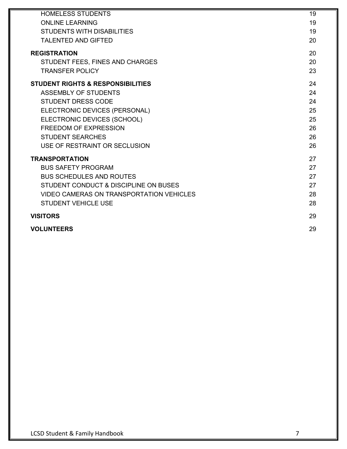| <b>HOMELESS STUDENTS</b>                        | 19 |
|-------------------------------------------------|----|
| <b>ONLINE LEARNING</b>                          | 19 |
| <b>STUDENTS WITH DISABILITIES</b>               | 19 |
| <b>TALENTED AND GIFTED</b>                      | 20 |
| <b>REGISTRATION</b>                             | 20 |
| STUDENT FEES, FINES AND CHARGES                 | 20 |
| <b>TRANSFER POLICY</b>                          | 23 |
| <b>STUDENT RIGHTS &amp; RESPONSIBILITIES</b>    | 24 |
| <b>ASSEMBLY OF STUDENTS</b>                     | 24 |
| <b>STUDENT DRESS CODE</b>                       | 24 |
| ELECTRONIC DEVICES (PERSONAL)                   | 25 |
| ELECTRONIC DEVICES (SCHOOL)                     | 25 |
| <b>FREEDOM OF EXPRESSION</b>                    | 26 |
| <b>STUDENT SEARCHES</b>                         | 26 |
| USE OF RESTRAINT OR SECLUSION                   | 26 |
| <b>TRANSPORTATION</b>                           | 27 |
| <b>BUS SAFETY PROGRAM</b>                       | 27 |
| <b>BUS SCHEDULES AND ROUTES</b>                 | 27 |
| STUDENT CONDUCT & DISCIPLINE ON BUSES           | 27 |
| <b>VIDEO CAMERAS ON TRANSPORTATION VEHICLES</b> | 28 |
| <b>STUDENT VEHICLE USE</b>                      | 28 |
| <b>VISITORS</b>                                 | 29 |
| <b>VOLUNTEERS</b>                               | 29 |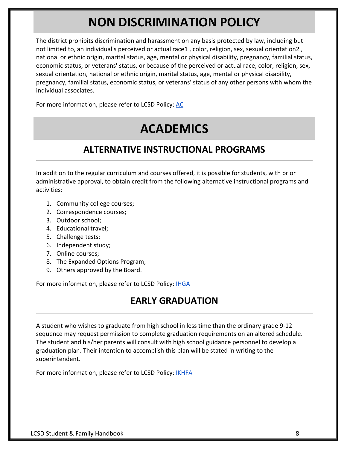## **NON DISCRIMINATION POLICY**

<span id="page-7-0"></span>The district prohibits discrimination and harassment on any basis protected by law, including but not limited to, an individual's perceived or actual race1 , color, religion, sex, sexual orientation2 , national or ethnic origin, marital status, age, mental or physical disability, pregnancy, familial status, economic status, or veterans' status, or because of the perceived or actual race, color, religion, sex, sexual orientation, national or ethnic origin, marital status, age, mental or physical disability, pregnancy, familial status, economic status, or veterans' status of any other persons with whom the individual associates.

<span id="page-7-1"></span>For more information, please refer to LCSD Policy[:](https://lincoln.k12.or.us/our-district/policies/) [AC](https://lincoln.k12.or.us/our-district/policies/)

## **ACADEMICS**

### **ALTERNATIVE INSTRUCTIONAL PROGRAMS**

<span id="page-7-2"></span>In addition to the regular curriculum and courses offered, it is possible for students, with prior administrative approval, to obtain credit from the following alternative instructional programs and activities:

- 1. Community college courses;
- 2. Correspondence courses;
- 3. Outdoor school;
- 4. Educational travel;
- 5. Challenge tests;
- 6. Independent study;
- 7. Online courses;
- 8. The Expanded Options Program;
- 9. Others approved by the Board.

<span id="page-7-3"></span>For more information, please refer to LCSD Policy[:](https://lincoln.k12.or.us/our-district/policies/) [IHGA](https://lincoln.k12.or.us/our-district/policies/)

### **EARLY GRADUATION**

A student who wishes to graduate from high school in less time than the ordinary grade 9-12 sequence may request permission to complete graduation requirements on an altered schedule. The student and his/her parents will consult with high school guidance personnel to develop a graduation plan. Their intention to accomplish this plan will be stated in writing to the superintendent.

For more information, please refer to LCSD Policy[:](https://lincoln.k12.or.us/our-district/policies/) **[IKHFA](https://lincoln.k12.or.us/our-district/policies/)**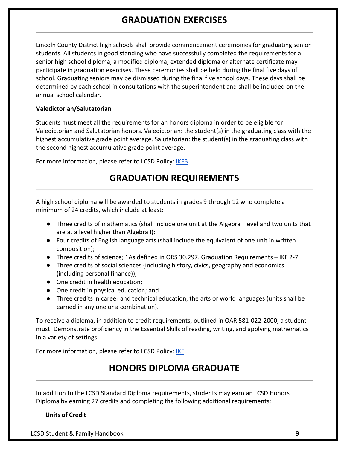### **GRADUATION EXERCISES**

<span id="page-8-0"></span>Lincoln County District high schools shall provide commencement ceremonies for graduating senior students. All students in good standing who have successfully completed the requirements for a senior high school diploma, a modified diploma, extended diploma or alternate certificate may participate in graduation exercises. These ceremonies shall be held during the final five days of school. Graduating seniors may be dismissed during the final five school days. These days shall be determined by each school in consultations with the superintendent and shall be included on the annual school calendar.

#### **Valedictorian/Salutatorian**

Students must meet all the requirements for an honors diploma in order to be eligible for Valedictorian and Salutatorian honors. Valedictorian: the student(s) in the graduating class with the highest accumulative grade point average. Salutatorian: the student(s) in the graduating class with the second highest accumulative grade point average.

<span id="page-8-1"></span>For more information, please refer to LCSD Policy[:](https://lincoln.k12.or.us/our-district/policies/) [IKFB](https://lincoln.k12.or.us/our-district/policies/)

### **GRADUATION REQUIREMENTS**

A high school diploma will be awarded to students in grades 9 through 12 who complete a minimum of 24 credits, which include at least:

- Three credits of mathematics (shall include one unit at the Algebra I level and two units that are at a level higher than Algebra I);
- Four credits of English language arts (shall include the equivalent of one unit in written composition);
- Three credits of science; 1As defined in ORS 30.297. Graduation Requirements IKF 2-7
- Three credits of social sciences (including history, civics, geography and economics (including personal finance));
- One credit in health education;
- One credit in physical education; and
- Three credits in career and technical education, the arts or world languages (units shall be earned in any one or a combination).

To receive a diploma, in addition to credit requirements, outlined in OAR 581-022-2000, a student must: Demonstrate proficiency in the Essential Skills of reading, writing, and applying mathematics in a variety of settings.

<span id="page-8-2"></span>For more information, please refer to LCSD Policy[:](https://lincoln.k12.or.us/our-district/policies/) [IKF](https://lincoln.k12.or.us/our-district/policies/)

### **HONORS DIPLOMA GRADUATE**

In addition to the LCSD Standard Diploma requirements, students may earn an LCSD Honors Diploma by earning 27 credits and completing the following additional requirements:

#### **Units of Credit**

LCSD Student & Family Handbook 9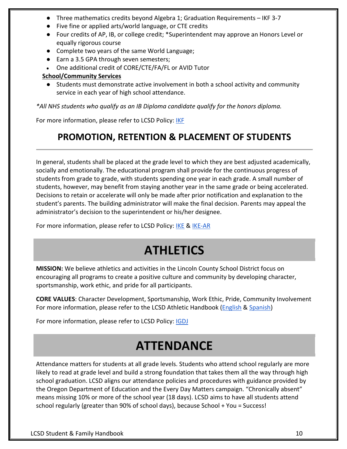- Three mathematics credits beyond Algebra 1; Graduation Requirements IKF 3-7
- Five fine or applied arts/world language, or CTE credits
- Four credits of AP, IB, or college credit; \*Superintendent may approve an Honors Level or equally rigorous course
- Complete two years of the same World Language;
- Earn a 3.5 GPA through seven semesters;
- One additional credit of CORE/CTE/FA/FL or AVID Tutor

#### **School/Community Services**

● Students must demonstrate active involvement in both a school activity and community service in each year of high school attendance.

*\*All NHS students who qualify as an IB Diploma candidate qualify for the honors diploma.*

<span id="page-9-0"></span>For more information, please refer to LCSD Policy[:](https://lincoln.k12.or.us/our-district/policies/) [IKF](https://lincoln.k12.or.us/our-district/policies/)

### **PROMOTION, RETENTION & PLACEMENT OF STUDENTS**

In general, students shall be placed at the grade level to which they are best adjusted academically, socially and emotionally. The educational program shall provide for the continuous progress of students from grade to grade, with students spending one year in each grade. A small number of students, however, may benefit from staying another year in the same grade or being accelerated. Decisions to retain or accelerate will only be made after prior notification and explanation to the student's parents. The building administrator will make the final decision. Parents may appeal the administrator's decision to the superintendent or his/her designee.

<span id="page-9-1"></span>For more information, please refer to LCSD Policy[:](https://lincoln.k12.or.us/our-district/policies/) [IKE](https://lincoln.k12.or.us/our-district/policies/) [&](https://lincoln.k12.or.us/our-district/policies/) [IKE-AR](https://lincoln.k12.or.us/our-district/policies/)

## **ATHLETICS**

**MISSION:** We believe athletics and activities in the Lincoln County School District focus on encouraging all programs to create a positive culture and community by developing character, sportsmanship, work ethic, and pride for all participants.

**CORE VALUES**: Character Development, Sportsmanship, Work Ethic, Pride, Community Involvement For more information, please refer to the LCSD Athletic Handbook [\(English](https://lincoln.k12.or.us/media/2018/03/LCSD-Athletics-Handbook-2019-20.pdf) [&](https://lincoln.k12.or.us/media/2020/02/LCSD-2019-20-Athletics-Handbook-SP-8-5-2019.pdf) [Spanish\)](https://lincoln.k12.or.us/media/2020/02/LCSD-2019-20-Athletics-Handbook-SP-8-5-2019.pdf)

<span id="page-9-2"></span>For more information, please refer to LCSD Policy[:](https://lincoln.k12.or.us/our-district/policies/) [IGDJ](https://lincoln.k12.or.us/our-district/policies/)

## **ATTENDANCE**

Attendance matters for students at all grade levels. Students who attend school regularly are more likely to read at grade level and build a strong foundation that takes them all the way through high school graduation. LCSD aligns our attendance policies and procedures with guidance provided by the Oregon Department of Education and the Every Day Matters campaign. "Chronically absent" means missing 10% or more of the school year (18 days). LCSD aims to have all students attend school regularly (greater than 90% of school days), because School + You = Success!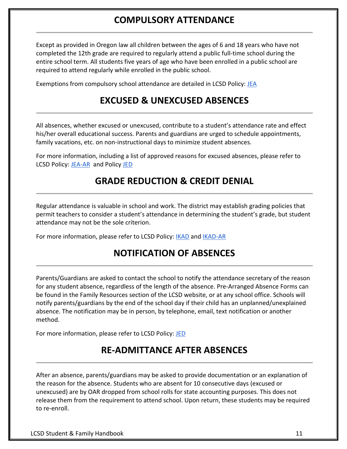### **COMPULSORY ATTENDANCE**

<span id="page-10-0"></span>Except as provided in Oregon law all children between the ages of 6 and 18 years who have not completed the 12th grade are required to regularly attend a public full-time school during the entire school term. All students five years of age who have been enrolled in a public school are required to attend regularly while enrolled in the public school.

<span id="page-10-1"></span>Exemptions from compulsory school attendance are detailed in LCSD Policy: [JEA](https://lincoln.k12.or.us/our-district/policies/)

### **EXCUSED & UNEXCUSED ABSENCES**

All absences, whether excused or unexcused, contribute to a student's attendance rate and effect his/her overall educational success. Parents and guardians are urged to schedule appointments, family vacations, etc. on non-instructional days to minimize student absences.

<span id="page-10-2"></span>For more information, including a list of approved reasons for excused absences, please refer to LCSD Policy[:](https://lincoln.k12.or.us/our-district/policies/) **JEA-AR** and Policy [JED](https://lincoln.k12.or.us/our-district/policies/)

### **GRADE REDUCTION & CREDIT DENIAL**

Regular attendance is valuable in school and work. The district may establish grading policies that permit teachers to consider a student's attendance in determining the student's grade, but student attendance may not be the sole criterion.

<span id="page-10-3"></span>For more information, please refer to LCSD Policy[:](https://lincoln.k12.or.us/our-district/policies/) [IKAD](https://lincoln.k12.or.us/our-district/policies/) and [IKAD-AR](https://lincoln.k12.or.us/our-district/policies/)

### **NOTIFICATION OF ABSENCES**

Parents/Guardians are asked to contact the school to notify the attendance secretary of the reason for any student absence, regardless of the length of the absence. Pre-Arranged Absence Forms can be found in the Family Resources section of the LCSD website, or at any school office. Schools will notify parents/guardians by the end of the school day if their child has an unplanned/unexplained absence. The notification may be in person, by telephone, email, text notification or another method.

<span id="page-10-4"></span>For more information, please refer to LCSD Policy[:](https://lincoln.k12.or.us/our-district/policies/) [JED](https://lincoln.k12.or.us/our-district/policies/)

### **RE-ADMITTANCE AFTER ABSENCES**

After an absence, parents/guardians may be asked to provide documentation or an explanation of the reason for the absence. Students who are absent for 10 consecutive days (excused or unexcused) are by OAR dropped from school rolls for state accounting purposes. This does not release them from the requirement to attend school. Upon return, these students may be required to re-enroll.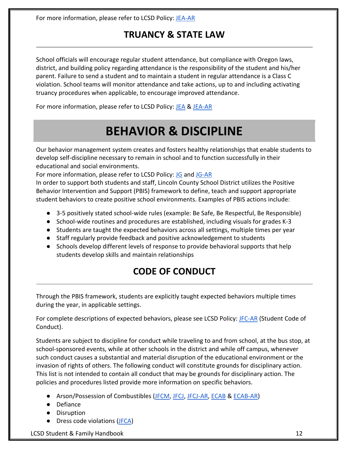<span id="page-11-0"></span>For more information, please refer to LCSD Policy[:](https://lincoln.k12.or.us/our-district/policies/) JEA-AR

### **TRUANCY & STATE LAW**

School officials will encourage regular student attendance, but compliance with Oregon laws, district, and building policy regarding attendance is the responsibility of the student and his/her parent. Failure to send a student and to maintain a student in regular attendance is a Class C violation. School teams will monitor attendance and take actions, up to and including activating truancy procedures when applicable, to encourage improved attendance.

<span id="page-11-1"></span>For more information, please refer to LCSD Policy[:](https://lincoln.k12.or.us/our-district/policies/) [JEA](https://lincoln.k12.or.us/our-district/policies/) & [JEA-AR](https://lincoln.k12.or.us/our-district/policies/)

## **BEHAVIOR & DISCIPLINE**

Our behavior management system creates and fosters healthy relationships that enable students to develop self-discipline necessary to remain in school and to function successfully in their educational and social environments.

For more information, please refer to LCSD Policy[:](https://lincoln.k12.or.us/our-district/policies/) [JG](https://lincoln.k12.or.us/our-district/policies/) and [JG-AR](https://lincoln.k12.or.us/our-district/policies/)

In order to support both students and staff, Lincoln County School District utilizes the Positive Behavior Intervention and Support (PBIS) framework to define, teach and support appropriate student behaviors to create positive school environments. Examples of PBIS actions include:

- 3-5 positively stated school-wide rules (example: Be Safe, Be Respectful, Be Responsible)
- School-wide routines and procedures are established, including visuals for grades K-3
- Students are taught the expected behaviors across all settings, multiple times per year
- Staff regularly provide feedback and positive acknowledgement to students
- <span id="page-11-2"></span>● Schools develop different levels of response to provide behavioral supports that help students develop skills and maintain relationships

### **CODE OF CONDUCT**

Through the PBIS framework, students are explicitly taught expected behaviors multiple times during the year, in applicable settings.

For complete descriptions of expected behaviors, please see LCSD Policy: [JFC-AR](https://lincoln.k12.or.us/our-district/policies/) (Student Code of Conduct).

Students are subject to discipline for conduct while traveling to and from school, at the bus stop, at school-sponsored events, while at other schools in the district and while off campus, whenever such conduct causes a substantial and material disruption of the educational environment or the invasion of rights of others. The following conduct will constitute grounds for disciplinary action. This list is not intended to contain all conduct that may be grounds for disciplinary action. The policies and procedures listed provide more information on specific behaviors.

- Arson/Possession of Combustibles [\(JFCM,](https://lincoln.k12.or.us/our-district/policies/) [JFCJ,](https://lincoln.k12.or.us/our-district/policies/) [JFCJ-AR,](https://lincoln.k12.or.us/our-district/policies/) [ECAB](https://lincoln.k12.or.us/our-district/policies/) [&](https://lincoln.k12.or.us/our-district/policies/) [ECAB-AR\)](https://lincoln.k12.or.us/our-district/policies/)
- Defiance
- Disruption
- Dress code violations [\(JFCA\)](https://lincoln.k12.or.us/our-district/policies/)

LCSD Student & Family Handbook 12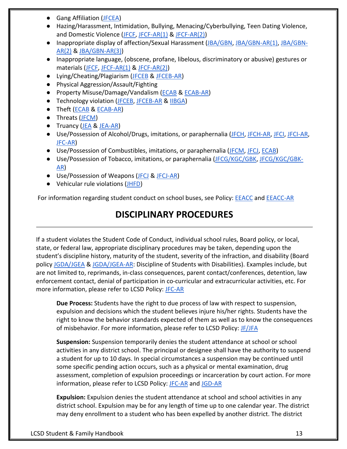- Gang Affiliation [\(JFCEA\)](https://lincoln.k12.or.us/our-district/policies/)
- Hazing/Harassment, Intimidation, Bullying, Menacing/Cyberbullying, Teen Dating Violence, and Domestic Violence [\(JFCF,](https://lincoln.k12.or.us/our-district/policies/) [JFCF-AR\(1\)](https://lincoln.k12.or.us/our-district/policies/) [&](https://lincoln.k12.or.us/our-district/policies/) [JFCF-AR\(2\)\)](https://lincoln.k12.or.us/our-district/policies/)
- Inappropriate display of affection/Sexual Harassment [\(JBA/GBN,](https://lincoln.k12.or.us/our-district/policies/) [JBA/GBN-AR\(1\),](https://lincoln.k12.or.us/our-district/policies/) [JBA/GBN-](https://lincoln.k12.or.us/our-district/policies/)[AR\(2\)](https://lincoln.k12.or.us/our-district/policies/) [&](https://lincoln.k12.or.us/our-district/policies/) [JBA/GBN-AR\(3\)\)](https://lincoln.k12.or.us/our-district/policies/)
- Inappropriate language, (obscene, profane, libelous, discriminatory or abusive) gestures or materials [\(JFCF,](https://lincoln.k12.or.us/our-district/policies/) [JFCF-AR\(1\)](https://lincoln.k12.or.us/our-district/policies/) [&](https://lincoln.k12.or.us/our-district/policies/) [JFCF-AR\(2\)\)](https://lincoln.k12.or.us/our-district/policies/)
- Lying/Cheating/Plagiarism [\(JFCEB](https://lincoln.k12.or.us/our-district/policies/) & [JFCEB-AR\)](https://lincoln.k12.or.us/our-district/policies/)
- Physical Aggression/Assault/Fighting
- Property Misuse/Damage/Vandalism [\(ECAB](https://lincoln.k12.or.us/our-district/policies/) & [ECAB-AR\)](https://lincoln.k12.or.us/our-district/policies/)
- Technology violation [\(JFCEB,](https://lincoln.k12.or.us/our-district/policies/) [JFCEB-AR](https://lincoln.k12.or.us/our-district/policies/) [&](https://lincoln.k12.or.us/our-district/policies/) [IIBGA\)](https://lincoln.k12.or.us/our-district/policies/)
- Theft [\(ECAB](https://lincoln.k12.or.us/our-district/policies/) [&](https://lincoln.k12.or.us/our-district/policies/) [ECAB-AR\)](https://lincoln.k12.or.us/our-district/policies/)
- Threats [\(JFCM\)](https://lincoln.k12.or.us/our-district/policies/)
- Truancy [\(JEA](https://lincoln.k12.or.us/our-district/policies/) [&](https://lincoln.k12.or.us/our-district/policies/) [JEA-AR\)](https://lincoln.k12.or.us/our-district/policies/)
- Use/Possession of Alcohol/Drugs, imitations, or paraphernalia [\(JFCH, JFCH-AR,](https://lincoln.k12.or.us/our-district/policies/) [JFCI, JFCI-AR,](https://lincoln.k12.or.us/our-district/policies/) [JFC-AR\)](https://lincoln.k12.or.us/our-district/policies/)
- Use/Possession of Combustibles, imitations, or paraphernalia [\(JFCM,](https://lincoln.k12.or.us/our-district/policies/) [JFCJ,](https://lincoln.k12.or.us/our-district/policies/) [ECAB\)](https://lincoln.k12.or.us/our-district/policies/)
- Use/Possession of Tobacco, imitations, or paraphernalia [\(JFCG/KGC/GBK, JFCG/KGC/GBK-](https://lincoln.k12.or.us/our-district/policies/)[AR\)](https://lincoln.k12.or.us/our-district/policies/)
- Use/Possession of Weapons [\(JFCJ](https://lincoln.k12.or.us/our-district/policies/) [&](https://lincoln.k12.or.us/our-district/policies/) [JFCJ-AR\)](https://lincoln.k12.or.us/our-district/policies/)
- Vehicular rule violations [\(JHFD\)](https://lincoln.k12.or.us/our-district/policies/)

<span id="page-12-0"></span>For information regarding student conduct on school buses, see Policy[:](https://lincoln.k12.or.us/our-district/policies/) [EEACC](https://lincoln.k12.or.us/our-district/policies/) an[d](https://lincoln.k12.or.us/our-district/policies/) [EEACC-AR](https://lincoln.k12.or.us/our-district/policies/)

### **DISCIPLINARY PROCEDURES**

If a student violates the Student Code of Conduct, individual school rules, Board policy, or local, state, or federal law, appropriate disciplinary procedures may be taken, depending upon the student's discipline history, maturity of the student, severity of the infraction, and disability (Board polic[y](https://lincoln.k12.or.us/our-district/policies/) [JGDA/JGEA](https://lincoln.k12.or.us/our-district/policies/) [&](https://lincoln.k12.or.us/our-district/policies/) [JGDA/JGEA-AR:](https://lincoln.k12.or.us/our-district/policies/) Discipline of Students with Disabilities). Examples include, but are not limited to, reprimands, in-class consequences, parent contact/conferences, detention, law enforcement contact, denial of participation in co-curricular and extracurricular activities, etc. For more information, please refer to LCSD Policy: [JFC-AR](https://lincoln.k12.or.us/our-district/policies/)

**Due Process:** Students have the right to due process of law with respect to suspension, expulsion and decisions which the student believes injure his/her rights. Students have the right to know the behavior standards expected of them as well as to know the consequences of misbehavior. For more information, please refer to LCSD Policy[:](https://lincoln.k12.or.us/our-district/policies/) [JF/JFA](https://lincoln.k12.or.us/our-district/policies/)

**Suspension:** Suspension temporarily denies the student attendance at school or school activities in any district school. The principal or designee shall have the authority to suspend a student for up to 10 days. In special circumstances a suspension may be continued until some specific pending action occurs, such as a physical or mental examination, drug assessment, completion of expulsion proceedings or incarceration by court action. For more information, please refer to LCSD Policy[:](https://lincoln.k12.or.us/our-district/policies/) [JFC-AR](https://lincoln.k12.or.us/our-district/policies/) and [JGD-](https://lincoln.k12.or.us/our-district/policies/)AR

**Expulsion:** Expulsion denies the student attendance at school and school activities in any district school. Expulsion may be for any length of time up to one calendar year. The district may deny enrollment to a student who has been expelled by another district. The district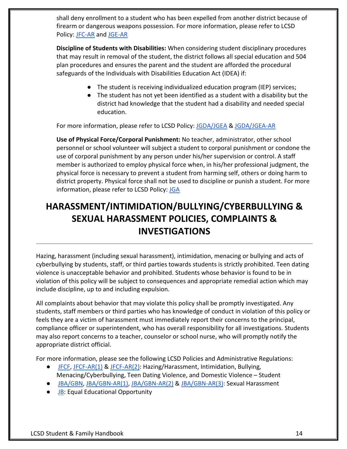shall deny enrollment to a student who has been expelled from another district because of firearm or dangerous weapons possession. For more information, please refer to LCSD Policy[:](https://lincoln.k12.or.us/our-district/policies/) [JFC-AR](https://lincoln.k12.or.us/our-district/policies/) an[d](https://lincoln.k12.or.us/our-district/policies/) [JGE-](https://lincoln.k12.or.us/our-district/policies/)AR

**Discipline of Students with Disabilities:** When considering student disciplinary procedures that may result in removal of the student, the district follows all special education and 504 plan procedures and ensures the parent and the student are afforded the procedural safeguards of the Individuals with Disabilities Education Act (IDEA) if:

- The student is receiving individualized education program (IEP) services;
- The student has not yet been identified as a student with a disability but the district had knowledge that the student had a disability and needed special education.

For more information, please refer to LCSD Policy[:](https://lincoln.k12.or.us/our-district/policies/) [JGDA/JGEA](https://lincoln.k12.or.us/our-district/policies/) & [JGDA/JGEA-AR](https://lincoln.k12.or.us/our-district/policies/)

**Use of Physical Force/Corporal Punishment:** No teacher, administrator, other school personnel or school volunteer will subject a student to corporal punishment or condone the use of corporal punishment by any person under his/her supervision or control. A staff member is authorized to employ physical force when, in his/her professional judgment, the physical force is necessary to prevent a student from harming self, others or doing harm to district property. Physical force shall not be used to discipline or punish a student. For more information, please refer to LCSD Policy[:](https://lincoln.k12.or.us/our-district/policies/) [JGA](https://lincoln.k12.or.us/our-district/policies/)

### <span id="page-13-0"></span>**HARASSMENT/INTIMIDATION/BULLYING/CYBERBULLYING & SEXUAL HARASSMENT POLICIES, COMPLAINTS & INVESTIGATIONS**

Hazing, harassment (including sexual harassment), intimidation, menacing or bullying and acts of cyberbullying by students, staff, or third parties towards students is strictly prohibited. Teen dating violence is unacceptable behavior and prohibited. Students whose behavior is found to be in violation of this policy will be subject to consequences and appropriate remedial action which may include discipline, up to and including expulsion.

All complaints about behavior that may violate this policy shall be promptly investigated. Any students, staff members or third parties who has knowledge of conduct in violation of this policy or feels they are a victim of harassment must immediately report their concerns to the principal, compliance officer or superintendent, who has overall responsibility for all investigations. Students may also report concerns to a teacher, counselor or school nurse, who will promptly notify the appropriate district official.

For more information, please see the following LCSD Policies and Administrative Regulations:

- [JFCF,](https://lincoln.k12.or.us/our-district/policies/) [JFCF-AR\(1\)](https://lincoln.k12.or.us/our-district/policies/) [&](https://lincoln.k12.or.us/our-district/policies/) [JFCF-AR\(2\):](https://lincoln.k12.or.us/our-district/policies/) Hazing/Harassment, Intimidation, Bullying, Menacing/Cyberbullying, Teen Dating Violence, and Domestic Violence – Student
- [JBA/GBN,](https://lincoln.k12.or.us/our-district/policies/) [JBA/GBN-AR\(1\),](https://lincoln.k12.or.us/our-district/policies/) [JBA/GBN-AR\(2\)](https://lincoln.k12.or.us/our-district/policies/) [&](https://lincoln.k12.or.us/our-district/policies/) [JBA/GBN-AR\(3\):](https://lincoln.k12.or.us/our-district/policies/) Sexual Harassment
- [JB:](https://lincoln.k12.or.us/our-district/policies/) Equal Educational Opportunity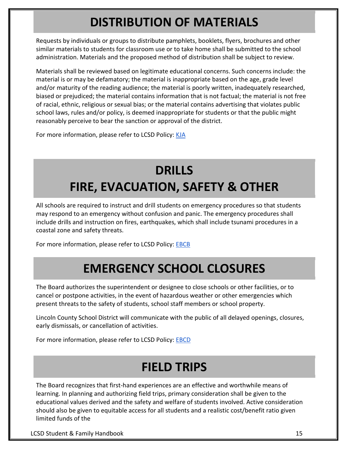## **DISTRIBUTION OF MATERIALS**

<span id="page-14-0"></span>Requests by individuals or groups to distribute pamphlets, booklets, flyers, brochures and other similar materials to students for classroom use or to take home shall be submitted to the school administration. Materials and the proposed method of distribution shall be subject to review.

Materials shall be reviewed based on legitimate educational concerns. Such concerns include: the material is or may be defamatory; the material is inappropriate based on the age, grade level and/or maturity of the reading audience; the material is poorly written, inadequately researched, biased or prejudiced; the material contains information that is not factual; the material is not free of racial, ethnic, religious or sexual bias; or the material contains advertising that violates public school laws, rules and/or policy, is deemed inappropriate for students or that the public might reasonably perceive to bear the sanction or approval of the district.

For more information, please refer to LCSD Policy[:](https://lincoln.k12.or.us/our-district/policies/) [KJA](https://lincoln.k12.or.us/our-district/policies/)

## **DRILLS FIRE, EVACUATION, SAFETY & OTHER**

<span id="page-14-1"></span>All schools are required to instruct and drill students on emergency procedures so that students may respond to an emergency without confusion and panic. The emergency procedures shall include drills and instruction on fires, earthquakes, which shall include tsunami procedures in a coastal zone and safety threats.

<span id="page-14-2"></span>For more information, please refer to LCSD Policy[:](https://lincoln.k12.or.us/our-district/policies/) **[EBCB](https://lincoln.k12.or.us/our-district/policies/)** 

## **EMERGENCY SCHOOL CLOSURES**

The Board authorizes the superintendent or designee to close schools or other facilities, or to cancel or postpone activities, in the event of hazardous weather or other emergencies which present threats to the safety of students, school staff members or school property.

Lincoln County School District will communicate with the public of all delayed openings, closures, early dismissals, or cancellation of activities.

<span id="page-14-3"></span>For more information, please refer to LCSD Policy[:](https://lincoln.k12.or.us/our-district/policies/) **[EBCD](https://lincoln.k12.or.us/our-district/policies/)** 

## **FIELD TRIPS**

The Board recognizes that first-hand experiences are an effective and worthwhile means of learning. In planning and authorizing field trips, primary consideration shall be given to the educational values derived and the safety and welfare of students involved. Active consideration should also be given to equitable access for all students and a realistic cost/benefit ratio given limited funds of the

LCSD Student & Family Handbook 15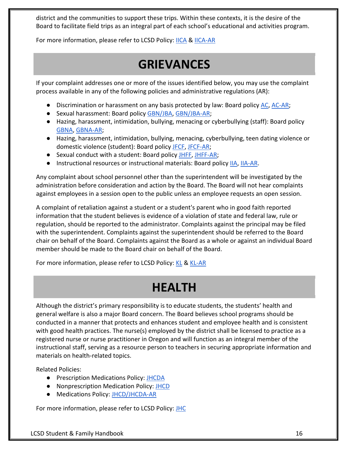district and the communities to support these trips. Within these contexts, it is the desire of the Board to facilitate field trips as an integral part of each school's educational and activities program.

<span id="page-15-0"></span>For more information, please refer to LCSD Policy[:](https://lincoln.k12.or.us/our-district/policies/) [IICA](https://lincoln.k12.or.us/our-district/policies/) [&](https://lincoln.k12.or.us/our-district/policies/) [IICA-AR](https://lincoln.k12.or.us/our-district/policies/)

## **GRIEVANCES**

If your complaint addresses one or more of the issues identified below, you may use the complaint process available in any of the following policies and administrative regulations (AR):

- Discrimination or harassment on an[y](https://lincoln.k12.or.us/our-district/policies/) basis protected by law: Board policy [AC,](https://lincoln.k12.or.us/our-district/policies/) [AC-AR;](https://lincoln.k12.or.us/our-district/policies/)
- Sexual harassment: Board policy [GBN/JBA,](https://lincoln.k12.or.us/our-district/policies/) [GBN/JBA-AR;](https://lincoln.k12.or.us/our-district/policies/)
- Hazing, harassment, intimidation, bullying, menacing or cyberbullying (staff): Board polic[y](https://lincoln.k12.or.us/our-district/policies/) [GBNA,](https://lincoln.k12.or.us/our-district/policies/) [GBNA-AR;](https://lincoln.k12.or.us/our-district/policies/)
- Hazing, harassment, intimidation, bullying, menacing, cyberbullying, teen dating violence or domestic violence (student): Board policy [JFCF,](https://lincoln.k12.or.us/our-district/policies/) [JFCF-AR;](https://lincoln.k12.or.us/our-district/policies/)
- Sexual conduct with a student: Board policy [JHFF,](https://lincoln.k12.or.us/our-district/policies/) [JHFF-AR;](https://lincoln.k12.or.us/our-district/policies/)
- Instructional resources or instructional materials: Board polic[y](https://lincoln.k12.or.us/our-district/policies/) [IIA,](https://lincoln.k12.or.us/our-district/policies/) [IIA-AR.](https://lincoln.k12.or.us/our-district/policies/)

Any complaint about school personnel other than the superintendent will be investigated by the administration before consideration and action by the Board. The Board will not hear complaints against employees in a session open to the public unless an employee requests an open session.

A complaint of retaliation against a student or a student's parent who in good faith reported information that the student believes is evidence of a violation of state and federal law, rule or regulation, should be reported to the administrator. Complaints against the principal may be filed with the superintendent. Complaints against the superintendent should be referred to the Board chair on behalf of the Board. Complaints against the Board as a whole or against an individual Board member should be made to the Board chair on behalf of the Board.

<span id="page-15-1"></span>For more information, please refer to LCSD Policy[:](https://lincoln.k12.or.us/our-district/policies/) [KL](https://lincoln.k12.or.us/our-district/policies/) [&](https://lincoln.k12.or.us/our-district/policies/) [KL-AR](https://lincoln.k12.or.us/our-district/policies/)

## **HEALTH**

Although the district's primary responsibility is to educate students, the students' health and general welfare is also a major Board concern. The Board believes school programs should be conducted in a manner that protects and enhances student and employee health and is consistent with good health practices. The nurse(s) employed by the district shall be licensed to practice as a registered nurse or nurse practitioner in Oregon and will function as an integral member of the instructional staff, serving as a resource person to teachers in securing appropriate information and materials on health-related topics.

Related Policies:

- Prescription Medications Policy: [JHCDA](https://lincoln.k12.or.us/our-district/policies/)
- Nonprescription Medication Policy[:](https://lincoln.k12.or.us/our-district/policies/) [JHCD](https://lincoln.k12.or.us/our-district/policies/)
- Medications Policy[:](https://lincoln.k12.or.us/our-district/policies/) [JHCD/JHCDA-AR](https://lincoln.k12.or.us/our-district/policies/)

For more information, please refer to LCSD Policy[:](https://lincoln.k12.or.us/our-district/policies/) [JHC](https://lincoln.k12.or.us/our-district/policies/)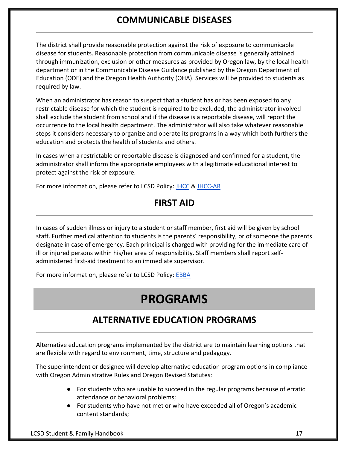### **COMMUNICABLE DISEASES**

<span id="page-16-0"></span>The district shall provide reasonable protection against the risk of exposure to communicable disease for students. Reasonable protection from communicable disease is generally attained through immunization, exclusion or other measures as provided by Oregon law, by the local health department or in the Communicable Disease Guidance published by the Oregon Department of Education (ODE) and the Oregon Health Authority (OHA). Services will be provided to students as required by law.

When an administrator has reason to suspect that a student has or has been exposed to any restrictable disease for which the student is required to be excluded, the administrator involved shall exclude the student from school and if the disease is a reportable disease, will report the occurrence to the local health department. The administrator will also take whatever reasonable steps it considers necessary to organize and operate its programs in a way which both furthers the education and protects the health of students and others.

In cases when a restrictable or reportable disease is diagnosed and confirmed for a student, the administrator shall inform the appropriate employees with a legitimate educational interest to protect against the risk of exposure.

<span id="page-16-1"></span>For more information, please refer to LCSD Policy[:](https://lincoln.k12.or.us/our-district/policies/) [JHCC](https://lincoln.k12.or.us/our-district/policies/) [&](https://lincoln.k12.or.us/our-district/policies/) [JHCC-AR](https://lincoln.k12.or.us/our-district/policies/)

### **FIRST AID**

In cases of sudden illness or injury to a student or staff member, first aid will be given by school staff. Further medical attention to students is the parents' responsibility, or of someone the parents designate in case of emergency. Each principal is charged with providing for the immediate care of ill or injured persons within his/her area of responsibility. Staff members shall report selfadministered first-aid treatment to an immediate supervisor.

<span id="page-16-2"></span>For more information, please refer to LCSD Policy[:](https://lincoln.k12.or.us/our-district/policies/) [EBBA](https://lincoln.k12.or.us/our-district/policies/)

## **PROGRAMS**

### **ALTERNATIVE EDUCATION PROGRAMS**

<span id="page-16-3"></span>Alternative education programs implemented by the district are to maintain learning options that are flexible with regard to environment, time, structure and pedagogy.

The superintendent or designee will develop alternative education program options in compliance with Oregon Administrative Rules and Oregon Revised Statutes:

- For students who are unable to succeed in the regular programs because of erratic attendance or behavioral problems;
- For students who have not met or who have exceeded all of Oregon's academic content standards;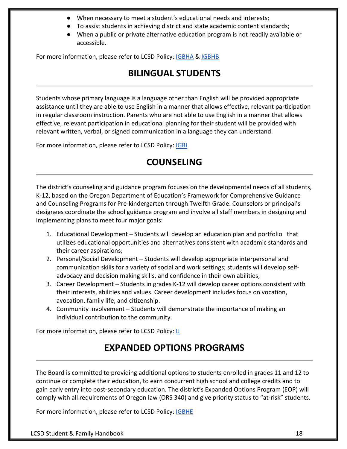- When necessary to meet a student's educational needs and interests;
- To assist students in achieving district and state academic content standards;
- When a public or private alternative education program is not readily available or accessible.

<span id="page-17-0"></span>For more information, please refer to LCSD Policy[:](https://lincoln.k12.or.us/our-district/policies/) [IGBHA](https://lincoln.k12.or.us/our-district/policies/) & [IGBHB](https://lincoln.k12.or.us/our-district/policies/)

### **BILINGUAL STUDENTS**

Students whose primary language is a language other than English will be provided appropriate assistance until they are able to use English in a manner that allows effective, relevant participation in regular classroom instruction. Parents who are not able to use English in a manner that allows effective, relevant participation in educational planning for their student will be provided with relevant written, verbal, or signed communication in a language they can understand.

<span id="page-17-1"></span>For more information, please refer to LCSD Policy[:](https://lincoln.k12.or.us/our-district/policies/) **[IGBI](https://lincoln.k12.or.us/our-district/policies/)** 

### **COUNSELING**

The district's counseling and guidance program focuses on the developmental needs of all students, K-12, based on the Oregon Department of Education's Framework for Comprehensive Guidance and Counseling Programs for Pre-kindergarten through Twelfth Grade. Counselors or principal's designees coordinate the school guidance program and involve all staff members in designing and implementing plans to meet four major goals:

- 1. Educational Development Students will develop an education plan and portfolio that utilizes educational opportunities and alternatives consistent with academic standards and their career aspirations;
- 2. Personal/Social Development Students will develop appropriate interpersonal and communication skills for a variety of social and work settings; students will develop selfadvocacy and decision making skills, and confidence in their own abilities;
- 3. Career Development Students in grades K-12 will develop career options consistent with their interests, abilities and values. Career development includes focus on vocation, avocation, family life, and citizenship.
- 4. Community involvement Students will demonstrate the importance of making an individual contribution to the community.

<span id="page-17-2"></span>For more information, please refer to LCSD Policy[:](https://lincoln.k12.or.us/our-district/policies/) [IJ](https://lincoln.k12.or.us/our-district/policies/)

### **EXPANDED OPTIONS PROGRAMS**

The Board is committed to providing additional options to students enrolled in grades 11 and 12 to continue or complete their education, to earn concurrent high school and college credits and to gain early entry into post-secondary education. The district's Expanded Options Program (EOP) will comply with all requirements of Oregon law (ORS 340) and give priority status to "at-risk" students.

For more information, please refer to LCSD Policy[:](https://lincoln.k12.or.us/our-district/policies/) **[IGBHE](https://lincoln.k12.or.us/our-district/policies/)**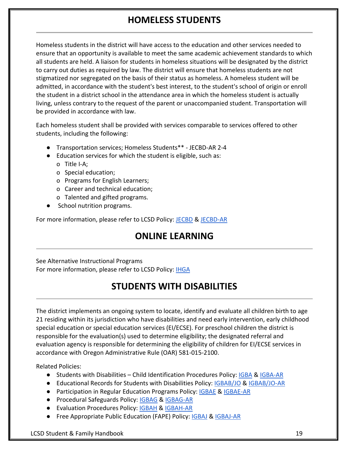### **HOMELESS STUDENTS**

<span id="page-18-0"></span>Homeless students in the district will have access to the education and other services needed to ensure that an opportunity is available to meet the same academic achievement standards to which all students are held. A liaison for students in homeless situations will be designated by the district to carry out duties as required by law. The district will ensure that homeless students are not stigmatized nor segregated on the basis of their status as homeless. A homeless student will be admitted, in accordance with the student's best interest, to the student's school of origin or enroll the student in a district school in the attendance area in which the homeless student is actually living, unless contrary to the request of the parent or unaccompanied student. Transportation will be provided in accordance with law.

Each homeless student shall be provided with services comparable to services offered to other students, including the following:

- Transportation services; Homeless Students\*\* JECBD-AR 2-4
- Education services for which the student is eligible, such as:
	- o Title I-A;
	- o Special education;
	- o Programs for English Learners;
	- o Career and technical education;
	- o Talented and gifted programs.
- School nutrition programs.

<span id="page-18-1"></span>For more information, please refer to LCSD Policy[:](https://lincoln.k12.or.us/our-district/policies/) [JECBD](https://lincoln.k12.or.us/our-district/policies/) [&](https://lincoln.k12.or.us/our-district/policies/) [JECBD-AR](https://lincoln.k12.or.us/our-district/policies/)

### **ONLINE LEARNING**

<span id="page-18-2"></span>See Alternative Instructional Programs For more information, please refer to LCSD Policy[:](https://lincoln.k12.or.us/our-district/policies/) **[IHGA](https://lincoln.k12.or.us/our-district/policies/)** 

### **STUDENTS WITH DISABILITIES**

The district implements an ongoing system to locate, identify and evaluate all children birth to age 21 residing within its jurisdiction who have disabilities and need early intervention, early childhood special education or special education services (EI/ECSE). For preschool children the district is responsible for the evaluation(s) used to determine eligibility; the designated referral and evaluation agency is responsible for determining the eligibility of children for EI/ECSE services in accordance with Oregon Administrative Rule (OAR) 581-015-2100.

Related Policies:

- Students with Disabilities Child Identification Procedures Policy: [IGBA](https://lincoln.k12.or.us/our-district/policies/) [&](https://lincoln.k12.or.us/our-district/policies/) [IGBA-AR](https://lincoln.k12.or.us/our-district/policies/)
- Educational Records for Students with Disabilities Policy: [IGBAB/JO](https://lincoln.k12.or.us/our-district/policies/) [&](https://lincoln.k12.or.us/our-district/policies/) [IGBAB/JO-AR](https://lincoln.k12.or.us/our-district/policies/)
- Participation in Regular Education Programs Policy[:](https://lincoln.k12.or.us/our-district/policies/) **[IGBAE](https://lincoln.k12.or.us/our-district/policies/) [&](https://lincoln.k12.or.us/our-district/policies/) [IGBAE-AR](https://lincoln.k12.or.us/our-district/policies/)**
- Procedural Safeguards Policy: [IGBAG](https://lincoln.k12.or.us/our-district/policies/) & [IGBAG-AR](https://lincoln.k12.or.us/our-district/policies/)
- Evaluation Procedures Policy[:](https://lincoln.k12.or.us/our-district/policies/) [IGBAH](https://lincoln.k12.or.us/our-district/policies/) [&](https://lincoln.k12.or.us/our-district/policies/) [IGBAH-AR](https://lincoln.k12.or.us/our-district/policies/)
- Free Appropriate Public Education (FAPE) Policy: [IGBAJ](https://lincoln.k12.or.us/our-district/policies/) & [IGBAJ-AR](https://lincoln.k12.or.us/our-district/policies/)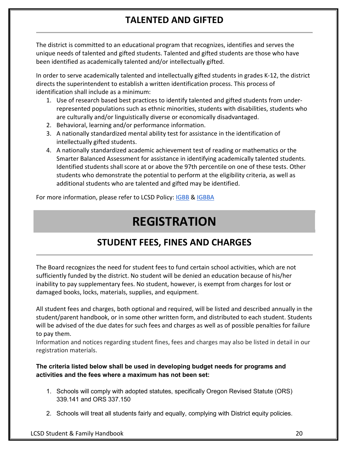### **TALENTED AND GIFTED**

<span id="page-19-0"></span>The district is committed to an educational program that recognizes, identifies and serves the unique needs of talented and gifted students. Talented and gifted students are those who have been identified as academically talented and/or intellectually gifted.

In order to serve academically talented and intellectually gifted students in grades K-12, the district directs the superintendent to establish a written identification process. This process of identification shall include as a minimum:

- 1. Use of research based best practices to identify talented and gifted students from underrepresented populations such as ethnic minorities, students with disabilities, students who are culturally and/or linguistically diverse or economically disadvantaged.
- 2. Behavioral, learning and/or performance information.
- 3. A nationally standardized mental ability test for assistance in the identification of intellectually gifted students.
- 4. A nationally standardized academic achievement test of reading or mathematics or the Smarter Balanced Assessment for assistance in identifying academically talented students. Identified students shall score at or above the 97th percentile on one of these tests. Other students who demonstrate the potential to perform at the eligibility criteria, as well as additional students who are talented and gifted may be identified.

<span id="page-19-1"></span>For more information, please refer to LCSD Policy[:](https://lincoln.k12.or.us/our-district/policies/) [IGBB](https://lincoln.k12.or.us/our-district/policies/) & [IGBBA](https://lincoln.k12.or.us/our-district/policies/)

## **REGISTRATION**

### **STUDENT FEES, FINES AND CHARGES**

<span id="page-19-2"></span>The Board recognizes the need for student fees to fund certain school activities, which are not sufficiently funded by the district. No student will be denied an education because of his/her inability to pay supplementary fees. No student, however, is exempt from charges for lost or damaged books, locks, materials, supplies, and equipment.

All student fees and charges, both optional and required, will be listed and described annually in the student/parent handbook, or in some other written form, and distributed to each student. Students will be advised of the due dates for such fees and charges as well as of possible penalties for failure to pay them.

Information and notices regarding student fines, fees and charges may also be listed in detail in our registration materials.

#### **The criteria listed below shall be used in developing budget needs for programs and activities and the fees where a maximum has not been set:**

- 1. Schools will comply with adopted statutes, specifically Oregon Revised Statute (ORS) 339.141 and ORS 337.150
- 2. Schools will treat all students fairly and equally, complying with District equity policies.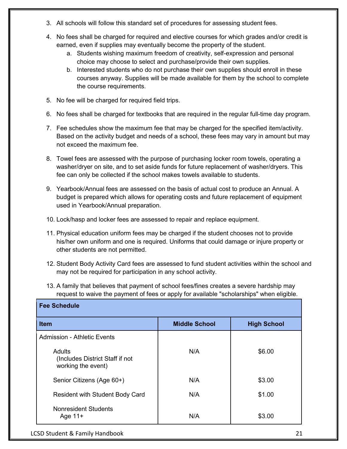- 3. All schools will follow this standard set of procedures for assessing student fees.
- 4. No fees shall be charged for required and elective courses for which grades and/or credit is earned, even if supplies may eventually become the property of the student.
	- a. Students wishing maximum freedom of creativity, self-expression and personal choice may choose to select and purchase/provide their own supplies.
	- b. Interested students who do not purchase their own supplies should enroll in these courses anyway. Supplies will be made available for them by the school to complete the course requirements.
- 5. No fee will be charged for required field trips.
- 6. No fees shall be charged for textbooks that are required in the regular full-time day program.
- 7. Fee schedules show the maximum fee that may be charged for the specified item/activity. Based on the activity budget and needs of a school, these fees may vary in amount but may not exceed the maximum fee.
- 8. Towel fees are assessed with the purpose of purchasing locker room towels, operating a washer/dryer on site, and to set aside funds for future replacement of washer/dryers. This fee can only be collected if the school makes towels available to students.
- 9. Yearbook/Annual fees are assessed on the basis of actual cost to produce an Annual. A budget is prepared which allows for operating costs and future replacement of equipment used in Yearbook/Annual preparation.
- 10. Lock/hasp and locker fees are assessed to repair and replace equipment.
- 11. Physical education uniform fees may be charged if the student chooses not to provide his/her own uniform and one is required. Uniforms that could damage or injure property or other students are not permitted.
- 12. Student Body Activity Card fees are assessed to fund student activities within the school and may not be required for participation in any school activity.
- 13. A family that believes that payment of school fees/fines creates a severe hardship may request to waive the payment of fees or apply for available "scholarships" when eligible.

| <b>Fee Schedule</b>                                             |                      |                    |
|-----------------------------------------------------------------|----------------------|--------------------|
| <b>Item</b>                                                     | <b>Middle School</b> | <b>High School</b> |
| <b>Admission - Athletic Events</b>                              |                      |                    |
| Adults<br>(Includes District Staff if not<br>working the event) | N/A                  | \$6.00             |
| Senior Citizens (Age 60+)                                       | N/A                  | \$3.00             |
| <b>Resident with Student Body Card</b>                          | N/A                  | \$1.00             |
| <b>Nonresident Students</b><br>Age $11+$                        | N/A                  | \$3.00             |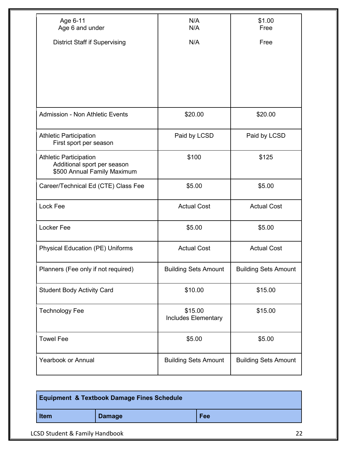| Age 6-11<br>Age 6 and under                                                                 | N/A<br>N/A                            | \$1.00<br>Free              |
|---------------------------------------------------------------------------------------------|---------------------------------------|-----------------------------|
| <b>District Staff if Supervising</b>                                                        | N/A                                   | Free                        |
|                                                                                             |                                       |                             |
|                                                                                             |                                       |                             |
|                                                                                             |                                       |                             |
|                                                                                             |                                       |                             |
| Admission - Non Athletic Events                                                             | \$20.00                               | \$20.00                     |
| <b>Athletic Participation</b><br>First sport per season                                     | Paid by LCSD                          | Paid by LCSD                |
| <b>Athletic Participation</b><br>Additional sport per season<br>\$500 Annual Family Maximum | \$100                                 | \$125                       |
| Career/Technical Ed (CTE) Class Fee                                                         | \$5.00                                | \$5.00                      |
| Lock Fee                                                                                    | <b>Actual Cost</b>                    | <b>Actual Cost</b>          |
| Locker Fee                                                                                  | \$5.00                                | \$5.00                      |
| <b>Physical Education (PE) Uniforms</b>                                                     | <b>Actual Cost</b>                    | <b>Actual Cost</b>          |
| Planners (Fee only if not required)                                                         | <b>Building Sets Amount</b>           | <b>Building Sets Amount</b> |
| <b>Student Body Activity Card</b>                                                           | \$10.00                               | \$15.00                     |
| <b>Technology Fee</b>                                                                       | \$15.00<br><b>Includes Elementary</b> | \$15.00                     |
| <b>Towel Fee</b>                                                                            | \$5.00                                | \$5.00                      |
| <b>Yearbook or Annual</b>                                                                   | <b>Building Sets Amount</b>           | <b>Building Sets Amount</b> |

| <b>Equipment &amp; Textbook Damage Fines Schedule</b> |               |     |
|-------------------------------------------------------|---------------|-----|
| <b>Item</b>                                           | <b>Damage</b> | Fee |

LCSD Student & Family Handbook 22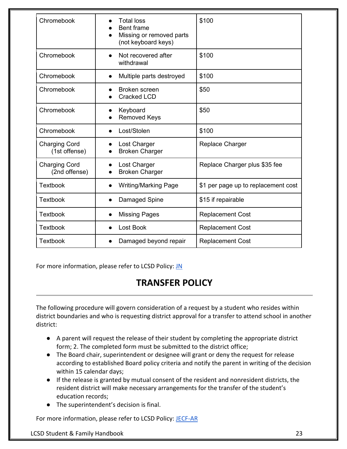| Chromebook                            | <b>Total loss</b><br><b>Bent frame</b><br>Missing or removed parts<br>(not keyboard keys) | \$100                               |
|---------------------------------------|-------------------------------------------------------------------------------------------|-------------------------------------|
| Chromebook                            | Not recovered after<br>withdrawal                                                         | \$100                               |
| Chromebook                            | Multiple parts destroyed<br>$\bullet$                                                     | \$100                               |
| Chromebook                            | Broken screen<br><b>Cracked LCD</b>                                                       | \$50                                |
| Chromebook                            | Keyboard<br><b>Removed Keys</b>                                                           | \$50                                |
| Chromebook                            | Lost/Stolen                                                                               | \$100                               |
| <b>Charging Cord</b><br>(1st offense) | Lost Charger<br><b>Broken Charger</b>                                                     | Replace Charger                     |
| <b>Charging Cord</b><br>(2nd offense) | Lost Charger<br><b>Broken Charger</b>                                                     | Replace Charger plus \$35 fee       |
| <b>Textbook</b>                       | <b>Writing/Marking Page</b>                                                               | \$1 per page up to replacement cost |
| <b>Textbook</b>                       | Damaged Spine                                                                             | \$15 if repairable                  |
| <b>Textbook</b>                       | <b>Missing Pages</b>                                                                      | <b>Replacement Cost</b>             |
| <b>Textbook</b>                       | <b>Lost Book</b>                                                                          | <b>Replacement Cost</b>             |
| <b>Textbook</b>                       | Damaged beyond repair<br>$\bullet$                                                        | <b>Replacement Cost</b>             |

<span id="page-22-0"></span>For more information, please refer to LCSD Policy[:](https://lincoln.k12.or.us/our-district/policies/) [JN](https://lincoln.k12.or.us/our-district/policies/)

### **TRANSFER POLICY**

The following procedure will govern consideration of a request by a student who resides within district boundaries and who is requesting district approval for a transfer to attend school in another district:

- A parent will request the release of their student by completing the appropriate district form; 2. The completed form must be submitted to the district office;
- The Board chair, superintendent or designee will grant or deny the request for release according to established Board policy criteria and notify the parent in writing of the decision within 15 calendar days;
- If the release is granted by mutual consent of the resident and nonresident districts, the resident district will make necessary arrangements for the transfer of the student's education records;
- The superintendent's decision is final.

For more information, please refer to LCSD Policy[:](https://lincoln.k12.or.us/our-district/policies/) [JECF-AR](https://lincoln.k12.or.us/our-district/policies/)

LCSD Student & Family Handbook 23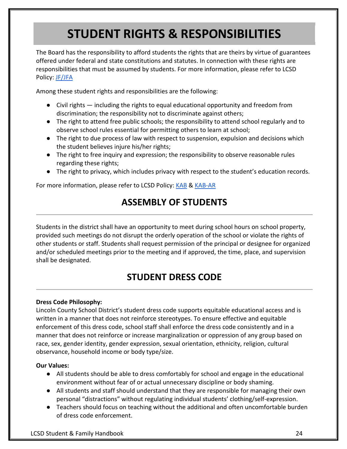## **STUDENT RIGHTS & RESPONSIBILITIES**

<span id="page-23-0"></span>The Board has the responsibility to afford students the rights that are theirs by virtue of guarantees offered under federal and state constitutions and statutes. In connection with these rights are responsibilities that must be assumed by students. For more information, please refer to LCSD Policy[:](https://lincoln.k12.or.us/our-district/policies/) [JF/JFA](https://lincoln.k12.or.us/our-district/policies/)

Among these student rights and responsibilities are the following:

- Civil rights including the rights to equal educational opportunity and freedom from discrimination; the responsibility not to discriminate against others;
- The right to attend free public schools; the responsibility to attend school regularly and to observe school rules essential for permitting others to learn at school;
- The right to due process of law with respect to suspension, expulsion and decisions which the student believes injure his/her rights;
- The right to free inquiry and expression; the responsibility to observe reasonable rules regarding these rights;
- The right to privacy, which includes privacy with respect to the student's education records.

<span id="page-23-1"></span>For more information, please refer to LCSD Policy[:](https://lincoln.k12.or.us/our-district/policies/) [KAB](https://lincoln.k12.or.us/our-district/policies/) & [KAB-AR](https://lincoln.k12.or.us/our-district/policies/)

### **ASSEMBLY OF STUDENTS**

Students in the district shall have an opportunity to meet during school hours on school property, provided such meetings do not disrupt the orderly operation of the school or violate the rights of other students or staff. Students shall request permission of the principal or designee for organized and/or scheduled meetings prior to the meeting and if approved, the time, place, and supervision shall be designated.

### **STUDENT DRESS CODE**

#### <span id="page-23-2"></span>**Dress Code Philosophy:**

Lincoln County School District's student dress code supports equitable educational access and is written in a manner that does not reinforce stereotypes. To ensure effective and equitable enforcement of this dress code, school staff shall enforce the dress code consistently and in a manner that does not reinforce or increase marginalization or oppression of any group based on race, sex, gender identity, gender expression, sexual orientation, ethnicity, religion, cultural observance, household income or body type/size.

#### **Our Values:**

- All students should be able to dress comfortably for school and engage in the educational environment without fear of or actual unnecessary discipline or body shaming.
- All students and staff should understand that they are responsible for managing their own personal "distractions" without regulating individual students' clothing/self-expression.
- Teachers should focus on teaching without the additional and often uncomfortable burden of dress code enforcement.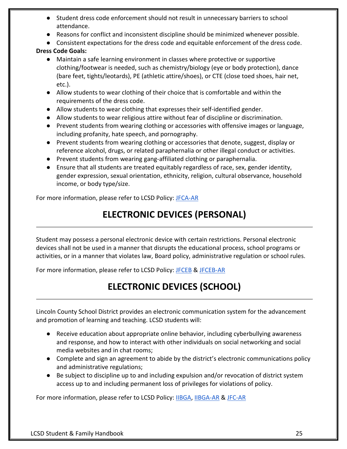- Student dress code enforcement should not result in unnecessary barriers to school attendance.
- Reasons for conflict and inconsistent discipline should be minimized whenever possible.
- Consistent expectations for the dress code and equitable enforcement of the dress code.

#### **Dress Code Goals:**

- Maintain a safe learning environment in classes where protective or supportive clothing/footwear is needed, such as chemistry/biology (eye or body protection), dance (bare feet, tights/leotards), PE (athletic attire/shoes), or CTE (close toed shoes, hair net, etc.).
- Allow students to wear clothing of their choice that is comfortable and within the requirements of the dress code.
- Allow students to wear clothing that expresses their self-identified gender.
- Allow students to wear religious attire without fear of discipline or discrimination.
- Prevent students from wearing clothing or accessories with offensive images or language, including profanity, hate speech, and pornography.
- Prevent students from wearing clothing or accessories that denote, suggest, display or reference alcohol, drugs, or related paraphernalia or other illegal conduct or activities.
- Prevent students from wearing gang-affiliated clothing or paraphernalia.
- Ensure that all students are treated equitably regardless of race, sex, gender identity, gender expression, sexual orientation, ethnicity, religion, cultural observance, household income, or body type/size.

<span id="page-24-0"></span>For more information, please refer to LCSD Policy[:](https://lincoln.k12.or.us/our-district/policies/) [JFCA-AR](https://lincoln.k12.or.us/our-district/policies/)

### **ELECTRONIC DEVICES (PERSONAL)**

Student may possess a personal electronic device with certain restrictions. Personal electronic devices shall not be used in a manner that disrupts the educational process, school programs or activities, or in a manner that violates law, Board policy, administrative regulation or school rules.

<span id="page-24-1"></span>For more information, please refer to LCSD Policy[:](https://lincoln.k12.or.us/our-district/policies/) [JFCEB](https://lincoln.k12.or.us/our-district/policies/) [&](https://lincoln.k12.or.us/our-district/policies/) [JFCEB-AR](https://lincoln.k12.or.us/our-district/policies/)

### **ELECTRONIC DEVICES (SCHOOL)**

Lincoln County School District provides an electronic communication system for the advancement and promotion of learning and teaching. LCSD students will:

- Receive education about appropriate online behavior, including cyberbullying awareness and response, and how to interact with other individuals on social networking and social media websites and in chat rooms;
- Complete and sign an agreement to abide by the district's electronic communications policy and administrative regulations;
- Be subject to discipline up to and including expulsion and/or revocation of district system access up to and including permanent loss of privileges for violations of policy.

For more information, please refer to LCSD Policy[:](https://lincoln.k12.or.us/our-district/policies/) [IIBGA,](https://lincoln.k12.or.us/our-district/policies/) [IIBGA-AR](https://lincoln.k12.or.us/our-district/policies/) [&](https://lincoln.k12.or.us/our-district/policies/) [JFC-AR](https://lincoln.k12.or.us/our-district/policies/)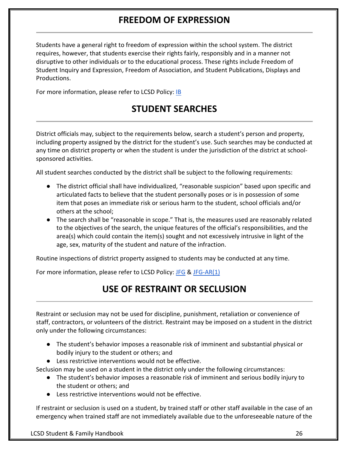### **FREEDOM OF EXPRESSION**

<span id="page-25-0"></span>Students have a general right to freedom of expression within the school system. The district requires, however, that students exercise their rights fairly, responsibly and in a manner not disruptive to other individuals or to the educational process. These rights include Freedom of Student Inquiry and Expression, Freedom of Association, and Student Publications, Displays and Productions.

<span id="page-25-1"></span>For more information, please refer to LCSD Policy[:](https://lincoln.k12.or.us/our-district/policies/) [IB](https://lincoln.k12.or.us/our-district/policies/)

### **STUDENT SEARCHES**

District officials may, subject to the requirements below, search a student's person and property, including property assigned by the district for the student's use. Such searches may be conducted at any time on district property or when the student is under the jurisdiction of the district at schoolsponsored activities.

All student searches conducted by the district shall be subject to the following requirements:

- The district official shall have individualized, "reasonable suspicion" based upon specific and articulated facts to believe that the student personally poses or is in possession of some item that poses an immediate risk or serious harm to the student, school officials and/or others at the school;
- The search shall be "reasonable in scope." That is, the measures used are reasonably related to the objectives of the search, the unique features of the official's responsibilities, and the area(s) which could contain the item(s) sought and not excessively intrusive in light of the age, sex, maturity of the student and nature of the infraction.

Routine inspections of district property assigned to students may be conducted at any time.

<span id="page-25-2"></span>For more information, please refer to LCSD Policy[:](https://lincoln.k12.or.us/our-district/policies/) [JFG](https://lincoln.k12.or.us/our-district/policies/) [&](https://lincoln.k12.or.us/our-district/policies/) [JFG-AR\(1\)](https://lincoln.k12.or.us/our-district/policies/)

### **USE OF RESTRAINT OR SECLUSION**

Restraint or seclusion may not be used for discipline, punishment, retaliation or convenience of staff, contractors, or volunteers of the district. Restraint may be imposed on a student in the district only under the following circumstances:

- The student's behavior imposes a reasonable risk of imminent and substantial physical or bodily injury to the student or others; and
- Less restrictive interventions would not be effective.

Seclusion may be used on a student in the district only under the following circumstances:

- The student's behavior imposes a reasonable risk of imminent and serious bodily injury to the student or others; and
- Less restrictive interventions would not be effective.

If restraint or seclusion is used on a student, by trained staff or other staff available in the case of an emergency when trained staff are not immediately available due to the unforeseeable nature of the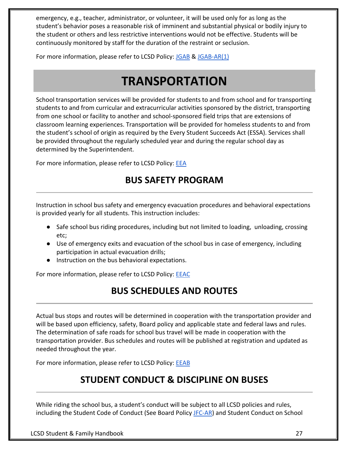emergency, e.g., teacher, administrator, or volunteer, it will be used only for as long as the student's behavior poses a reasonable risk of imminent and substantial physical or bodily injury to the student or others and less restrictive interventions would not be effective. Students will be continuously monitored by staff for the duration of the restraint or seclusion.

<span id="page-26-0"></span>For more information, please refer to LCSD Policy[:](https://lincoln.k12.or.us/our-district/policies/) [JGAB](https://lincoln.k12.or.us/our-district/policies/) [&](https://lincoln.k12.or.us/our-district/policies/) [JGAB-AR\(1\)](https://lincoln.k12.or.us/our-district/policies/)

## **TRANSPORTATION**

School transportation services will be provided for students to and from school and for transporting students to and from curricular and extracurricular activities sponsored by the district, transporting from one school or facility to another and school-sponsored field trips that are extensions of classroom learning experiences. Transportation will be provided for homeless students to and from the student's school of origin as required by the Every Student Succeeds Act (ESSA). Services shall be provided throughout the regularly scheduled year and during the regular school day as determined by the Superintendent.

<span id="page-26-1"></span>For more information, please refer to LCSD Policy[:](https://lincoln.k12.or.us/our-district/policies/) [EEA](https://lincoln.k12.or.us/our-district/policies/)

### **BUS SAFETY PROGRAM**

Instruction in school bus safety and emergency evacuation procedures and behavioral expectations is provided yearly for all students. This instruction includes:

- Safe school bus riding procedures, including but not limited to loading, unloading, crossing etc;
- Use of emergency exits and evacuation of the school bus in case of emergency, including participation in actual evacuation drills;
- Instruction on the bus behavioral expectations.

<span id="page-26-2"></span>For more information, please refer to LCSD Policy[:](https://lincoln.k12.or.us/our-district/policies/) **[EEAC](https://lincoln.k12.or.us/our-district/policies/)** 

### **BUS SCHEDULES AND ROUTES**

Actual bus stops and routes will be determined in cooperation with the transportation provider and will be based upon efficiency, safety, Board policy and applicable state and federal laws and rules. The determination of safe roads for school bus travel will be made in cooperation with the transportation provider. Bus schedules and routes will be published at registration and updated as needed throughout the year.

<span id="page-26-3"></span>For more information, please refer to LCSD Policy[:](https://lincoln.k12.or.us/our-district/policies/) **[EEAB](https://lincoln.k12.or.us/our-district/policies/)** 

### **STUDENT CONDUCT & DISCIPLINE ON BUSES**

While riding the school bus, a student's conduct will be subject to all LCSD policies and rules, including the Student Code of Conduct (See Board Policy [JFC-AR\)](https://lincoln.k12.or.us/our-district/policies/) and Student Conduct on School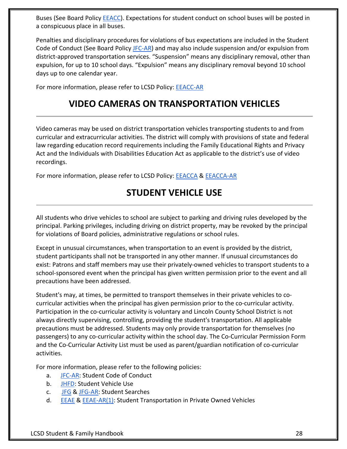Buses (See Board Policy [EEACC\)](https://lincoln.k12.or.us/our-district/policies/). Expectations for student conduct on school buses will be posted in a conspicuous place in all buses.

Penalties and disciplinary procedures for violations of bus expectations are included in the Student Code of Conduct (See Board Policy [JFC-AR\)](https://lincoln.k12.or.us/our-district/policies/) and may also include suspension and/or expulsion from district-approved transportation services. "Suspension" means any disciplinary removal, other than expulsion, for up to 10 school days. "Expulsion" means any disciplinary removal beyond 10 school days up to one calendar year.

<span id="page-27-0"></span>For more information, please refer to LCSD Policy[:](https://lincoln.k12.or.us/our-district/policies/) [EEACC-AR](https://lincoln.k12.or.us/our-district/policies/)

### **VIDEO CAMERAS ON TRANSPORTATION VEHICLES**

Video cameras may be used on district transportation vehicles transporting students to and from curricular and extracurricular activities. The district will comply with provisions of state and federal law regarding education record requirements including the Family Educational Rights and Privacy Act and the Individuals with Disabilities Education Act as applicable to the district's use of video recordings.

<span id="page-27-1"></span>For more information, please refer to LCSD Policy[:](https://lincoln.k12.or.us/our-district/policies/) [EEACCA](https://lincoln.k12.or.us/our-district/policies/) [&](https://lincoln.k12.or.us/our-district/policies/) [EEACCA-AR](https://lincoln.k12.or.us/our-district/policies/)

### **STUDENT VEHICLE USE**

All students who drive vehicles to school are subject to parking and driving rules developed by the principal. Parking privileges, including driving on district property, may be revoked by the principal for violations of Board policies, administrative regulations or school rules.

Except in unusual circumstances, when transportation to an event is provided by the district, student participants shall not be transported in any other manner. If unusual circumstances do exist: Patrons and staff members may use their privately-owned vehicles to transport students to a school-sponsored event when the principal has given written permission prior to the event and all precautions have been addressed.

Student's may, at times, be permitted to transport themselves in their private vehicles to cocurricular activities when the principal has given permission prior to the co-curricular activity. Participation in the co-curricular activity is voluntary and Lincoln County School District is not always directly supervising, controlling, providing the student's transportation. All applicable precautions must be addressed. Students may only provide transportation for themselves (no passengers) to any co-curricular activity within the school day. The Co-Curricular Permission Form and the Co-Curricular Activity List must be used as parent/guardian notification of co-curricular activities.

For more information, please refer to the following policies:

- a. [JFC-AR:](https://lincoln.k12.or.us/our-district/policies/) Student Code of Conduct
- b. [JHFD:](https://lincoln.k12.or.us/our-district/policies/) Student Vehicle Use
- c. [JFG](https://lincoln.k12.or.us/our-district/policies/) [&](https://lincoln.k12.or.us/our-district/policies/) [JFG-AR:](https://lincoln.k12.or.us/our-district/policies/) Student Searches
- d. [EEAE](https://lincoln.k12.or.us/our-district/policies/) & [EEAE-AR\(1\):](https://lincoln.k12.or.us/our-district/policies/) Student Transportation in Private Owned Vehicles